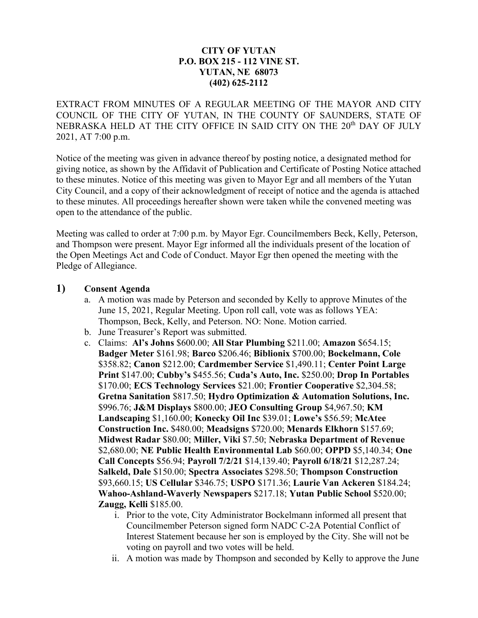## **CITY OF YUTAN P.O. BOX 215 - 112 VINE ST. YUTAN, NE 68073 (402) 625-2112**

EXTRACT FROM MINUTES OF A REGULAR MEETING OF THE MAYOR AND CITY COUNCIL OF THE CITY OF YUTAN, IN THE COUNTY OF SAUNDERS, STATE OF NEBRASKA HELD AT THE CITY OFFICE IN SAID CITY ON THE 20<sup>th</sup> DAY OF JULY 2021, AT 7:00 p.m.

Notice of the meeting was given in advance thereof by posting notice, a designated method for giving notice, as shown by the Affidavit of Publication and Certificate of Posting Notice attached to these minutes. Notice of this meeting was given to Mayor Egr and all members of the Yutan City Council, and a copy of their acknowledgment of receipt of notice and the agenda is attached to these minutes. All proceedings hereafter shown were taken while the convened meeting was open to the attendance of the public.

Meeting was called to order at 7:00 p.m. by Mayor Egr. Councilmembers Beck, Kelly, Peterson, and Thompson were present. Mayor Egr informed all the individuals present of the location of the Open Meetings Act and Code of Conduct. Mayor Egr then opened the meeting with the Pledge of Allegiance.

## **1) Consent Agenda**

- a. A motion was made by Peterson and seconded by Kelly to approve Minutes of the June 15, 2021, Regular Meeting. Upon roll call, vote was as follows YEA: Thompson, Beck, Kelly, and Peterson. NO: None. Motion carried.
- b. June Treasurer's Report was submitted.
- c. Claims: **Al's Johns** \$600.00; **All Star Plumbing** \$211.00; **Amazon** \$654.15; **Badger Meter** \$161.98; **Barco** \$206.46; **Biblionix** \$700.00; **Bockelmann, Cole** \$358.82; **Canon** \$212.00; **Cardmember Service** \$1,490.11; **Center Point Large Print** \$147.00; **Cubby's** \$455.56; **Cuda's Auto, Inc.** \$250.00; **Drop In Portables** \$170.00; **ECS Technology Services** \$21.00; **Frontier Cooperative** \$2,304.58; **Gretna Sanitation** \$817.50; **Hydro Optimization & Automation Solutions, Inc.**  \$996.76; **J&M Displays** \$800.00; **JEO Consulting Group** \$4,967.50; **KM Landscaping** \$1,160.00; **Konecky Oil Inc** \$39.01; **Lowe's** \$56.59; **McAtee Construction Inc.** \$480.00; **Meadsigns** \$720.00; **Menards Elkhorn** \$157.69; **Midwest Radar** \$80.00; **Miller, Viki** \$7.50; **Nebraska Department of Revenue**  \$2,680.00; **NE Public Health Environmental Lab** \$60.00; **OPPD** \$5,140.34; **One Call Concepts** \$56.94; **Payroll 7/2/21** \$14,139.40; **Payroll 6/18/21** \$12,287.24; **Salkeld, Dale** \$150.00; **Spectra Associates** \$298.50; **Thompson Construction** \$93,660.15; **US Cellular** \$346.75; **USPO** \$171.36; **Laurie Van Ackeren** \$184.24; **Wahoo-Ashland-Waverly Newspapers** \$217.18; **Yutan Public School** \$520.00; **Zaugg, Kelli** \$185.00.
	- i. Prior to the vote, City Administrator Bockelmann informed all present that Councilmember Peterson signed form NADC C-2A Potential Conflict of Interest Statement because her son is employed by the City. She will not be voting on payroll and two votes will be held.
	- ii. A motion was made by Thompson and seconded by Kelly to approve the June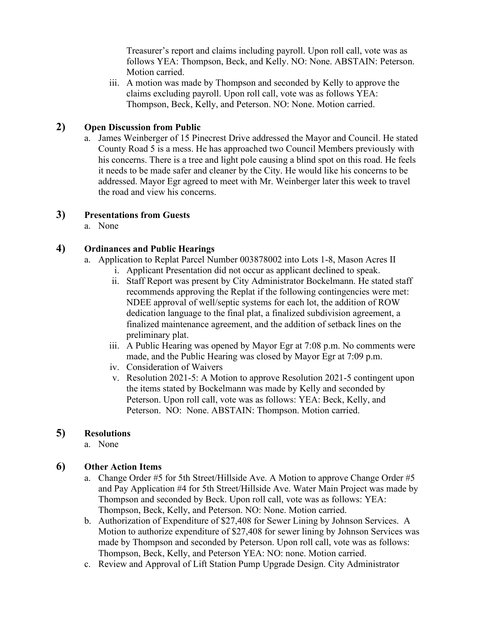Treasurer's report and claims including payroll. Upon roll call, vote was as follows YEA: Thompson, Beck, and Kelly. NO: None. ABSTAIN: Peterson. Motion carried.

iii. A motion was made by Thompson and seconded by Kelly to approve the claims excluding payroll. Upon roll call, vote was as follows YEA: Thompson, Beck, Kelly, and Peterson. NO: None. Motion carried.

# **2) Open Discussion from Public**

a. James Weinberger of 15 Pinecrest Drive addressed the Mayor and Council. He stated County Road 5 is a mess. He has approached two Council Members previously with his concerns. There is a tree and light pole causing a blind spot on this road. He feels it needs to be made safer and cleaner by the City. He would like his concerns to be addressed. Mayor Egr agreed to meet with Mr. Weinberger later this week to travel the road and view his concerns.

# **3) Presentations from Guests**

a. None

# **4) Ordinances and Public Hearings**

- a. Application to Replat Parcel Number 003878002 into Lots 1-8, Mason Acres II
	- i. Applicant Presentation did not occur as applicant declined to speak.
	- ii. Staff Report was present by City Administrator Bockelmann. He stated staff recommends approving the Replat if the following contingencies were met: NDEE approval of well/septic systems for each lot, the addition of ROW dedication language to the final plat, a finalized subdivision agreement, a finalized maintenance agreement, and the addition of setback lines on the preliminary plat.
	- iii. A Public Hearing was opened by Mayor Egr at 7:08 p.m. No comments were made, and the Public Hearing was closed by Mayor Egr at 7:09 p.m.
	- iv. Consideration of Waivers
	- v. Resolution 2021-5: A Motion to approve Resolution 2021-5 contingent upon the items stated by Bockelmann was made by Kelly and seconded by Peterson. Upon roll call, vote was as follows: YEA: Beck, Kelly, and Peterson. NO: None. ABSTAIN: Thompson. Motion carried.

## **5) Resolutions**

a. None

# **6) Other Action Items**

- a. Change Order #5 for 5th Street/Hillside Ave. A Motion to approve Change Order #5 and Pay Application #4 for 5th Street/Hillside Ave. Water Main Project was made by Thompson and seconded by Beck. Upon roll call, vote was as follows: YEA: Thompson, Beck, Kelly, and Peterson. NO: None. Motion carried.
- b. Authorization of Expenditure of \$27,408 for Sewer Lining by Johnson Services. A Motion to authorize expenditure of \$27,408 for sewer lining by Johnson Services was made by Thompson and seconded by Peterson. Upon roll call, vote was as follows: Thompson, Beck, Kelly, and Peterson YEA: NO: none. Motion carried.
- c. Review and Approval of Lift Station Pump Upgrade Design. City Administrator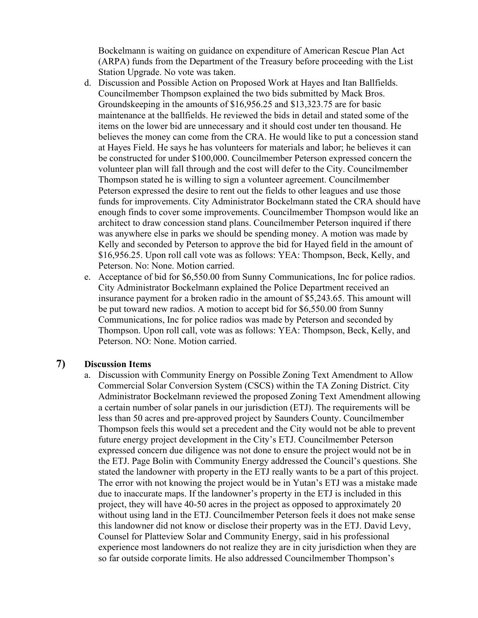Bockelmann is waiting on guidance on expenditure of American Rescue Plan Act (ARPA) funds from the Department of the Treasury before proceeding with the List Station Upgrade. No vote was taken.

- d. Discussion and Possible Action on Proposed Work at Hayes and Itan Ballfields. Councilmember Thompson explained the two bids submitted by Mack Bros. Groundskeeping in the amounts of \$16,956.25 and \$13,323.75 are for basic maintenance at the ballfields. He reviewed the bids in detail and stated some of the items on the lower bid are unnecessary and it should cost under ten thousand. He believes the money can come from the CRA. He would like to put a concession stand at Hayes Field. He says he has volunteers for materials and labor; he believes it can be constructed for under \$100,000. Councilmember Peterson expressed concern the volunteer plan will fall through and the cost will defer to the City. Councilmember Thompson stated he is willing to sign a volunteer agreement. Councilmember Peterson expressed the desire to rent out the fields to other leagues and use those funds for improvements. City Administrator Bockelmann stated the CRA should have enough finds to cover some improvements. Councilmember Thompson would like an architect to draw concession stand plans. Councilmember Peterson inquired if there was anywhere else in parks we should be spending money. A motion was made by Kelly and seconded by Peterson to approve the bid for Hayed field in the amount of \$16,956.25. Upon roll call vote was as follows: YEA: Thompson, Beck, Kelly, and Peterson. No: None. Motion carried.
- e. Acceptance of bid for \$6,550.00 from Sunny Communications, Inc for police radios. City Administrator Bockelmann explained the Police Department received an insurance payment for a broken radio in the amount of \$5,243.65. This amount will be put toward new radios. A motion to accept bid for \$6,550.00 from Sunny Communications, Inc for police radios was made by Peterson and seconded by Thompson. Upon roll call, vote was as follows: YEA: Thompson, Beck, Kelly, and Peterson. NO: None. Motion carried.

### **7) Discussion Items**

a. Discussion with Community Energy on Possible Zoning Text Amendment to Allow Commercial Solar Conversion System (CSCS) within the TA Zoning District. City Administrator Bockelmann reviewed the proposed Zoning Text Amendment allowing a certain number of solar panels in our jurisdiction (ETJ). The requirements will be less than 50 acres and pre-approved project by Saunders County. Councilmember Thompson feels this would set a precedent and the City would not be able to prevent future energy project development in the City's ETJ. Councilmember Peterson expressed concern due diligence was not done to ensure the project would not be in the ETJ. Page Bolin with Community Energy addressed the Council's questions. She stated the landowner with property in the ETJ really wants to be a part of this project. The error with not knowing the project would be in Yutan's ETJ was a mistake made due to inaccurate maps. If the landowner's property in the ETJ is included in this project, they will have 40-50 acres in the project as opposed to approximately 20 without using land in the ETJ. Councilmember Peterson feels it does not make sense this landowner did not know or disclose their property was in the ETJ. David Levy, Counsel for Platteview Solar and Community Energy, said in his professional experience most landowners do not realize they are in city jurisdiction when they are so far outside corporate limits. He also addressed Councilmember Thompson's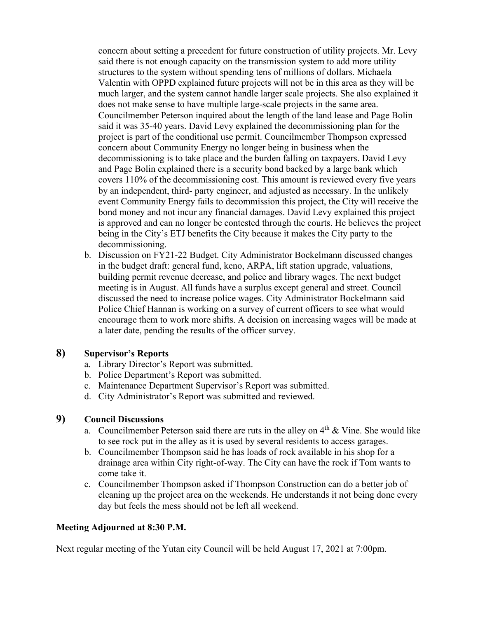concern about setting a precedent for future construction of utility projects. Mr. Levy said there is not enough capacity on the transmission system to add more utility structures to the system without spending tens of millions of dollars. Michaela Valentin with OPPD explained future projects will not be in this area as they will be much larger, and the system cannot handle larger scale projects. She also explained it does not make sense to have multiple large-scale projects in the same area. Councilmember Peterson inquired about the length of the land lease and Page Bolin said it was 35-40 years. David Levy explained the decommissioning plan for the project is part of the conditional use permit. Councilmember Thompson expressed concern about Community Energy no longer being in business when the decommissioning is to take place and the burden falling on taxpayers. David Levy and Page Bolin explained there is a security bond backed by a large bank which covers 110% of the decommissioning cost. This amount is reviewed every five years by an independent, third- party engineer, and adjusted as necessary. In the unlikely event Community Energy fails to decommission this project, the City will receive the bond money and not incur any financial damages. David Levy explained this project is approved and can no longer be contested through the courts. He believes the project being in the City's ETJ benefits the City because it makes the City party to the decommissioning.

b. Discussion on FY21-22 Budget. City Administrator Bockelmann discussed changes in the budget draft: general fund, keno, ARPA, lift station upgrade, valuations, building permit revenue decrease, and police and library wages. The next budget meeting is in August. All funds have a surplus except general and street. Council discussed the need to increase police wages. City Administrator Bockelmann said Police Chief Hannan is working on a survey of current officers to see what would encourage them to work more shifts. A decision on increasing wages will be made at a later date, pending the results of the officer survey.

## **8) Supervisor's Reports**

- a. Library Director's Report was submitted.
- b. Police Department's Report was submitted.
- c. Maintenance Department Supervisor's Report was submitted.
- d. City Administrator's Report was submitted and reviewed.

## **9) Council Discussions**

- a. Councilmember Peterson said there are ruts in the alley on  $4<sup>th</sup> \& V$ ine. She would like to see rock put in the alley as it is used by several residents to access garages.
- b. Councilmember Thompson said he has loads of rock available in his shop for a drainage area within City right-of-way. The City can have the rock if Tom wants to come take it.
- c. Councilmember Thompson asked if Thompson Construction can do a better job of cleaning up the project area on the weekends. He understands it not being done every day but feels the mess should not be left all weekend.

### **Meeting Adjourned at 8:30 P.M.**

Next regular meeting of the Yutan city Council will be held August 17, 2021 at 7:00pm.